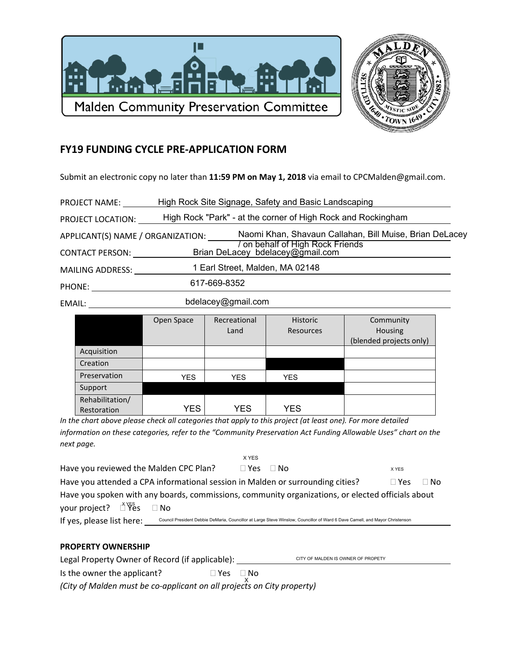



## **FY19 FUNDING CYCLE PRE-APPLICATION FORM**

Submit an electronic copy no later than **11:59 PM on May 1, 2018** via email to CPCMalden@gmail.com.

| PROJECT NAME:                     |                    | High Rock Site Signage, Safety and Basic Landscaping               |
|-----------------------------------|--------------------|--------------------------------------------------------------------|
| PROJECT LOCATION:                 |                    | High Rock "Park" - at the corner of High Rock and Rockingham       |
| APPLICANT(S) NAME / ORGANIZATION: |                    | Naomi Khan, Shavaun Callahan, Bill Muise, Brian DeLacey            |
| <b>CONTACT PERSON:</b>            |                    | on behalf of High Rock Friends<br>Brian DeLacey bdelacey@gmail.com |
| <b>MAILING ADDRESS:</b>           |                    | 1 Earl Street, Malden, MA 02148                                    |
| PHONE:                            | 617-669-8352       |                                                                    |
| EMAIL:                            | bdelacey@gmail.com |                                                                    |

|                 | Open Space | Recreational | <b>Historic</b>  | Community               |
|-----------------|------------|--------------|------------------|-------------------------|
|                 |            | Land         | <b>Resources</b> | Housing                 |
|                 |            |              |                  | (blended projects only) |
| Acquisition     |            |              |                  |                         |
| Creation        |            |              |                  |                         |
| Preservation    | <b>YES</b> | <b>YES</b>   | <b>YES</b>       |                         |
| Support         |            |              |                  |                         |
| Rehabilitation/ |            |              |                  |                         |
| Restoration     | YES.       | YES          | <b>YES</b>       |                         |

*In the chart above please check all categories that apply to this project (at least one). For more detailed information on these categories, refer to the "Community Preservation Act Funding Allowable Uses" chart on the next page.*

|                                                                                                   |                                                                                                                              | X YES      |      |            |           |
|---------------------------------------------------------------------------------------------------|------------------------------------------------------------------------------------------------------------------------------|------------|------|------------|-----------|
| Have you reviewed the Malden CPC Plan?                                                            |                                                                                                                              | $\Box$ Yes | ⊟ No | X YES      |           |
| Have you attended a CPA informational session in Malden or surrounding cities?                    |                                                                                                                              |            |      | $\Box$ Yes | $\Box$ No |
| Have you spoken with any boards, commissions, community organizations, or elected officials about |                                                                                                                              |            |      |            |           |
| your project? $\Box$ $\widetilde{Y}$ es                                                           | $\Box$ No                                                                                                                    |            |      |            |           |
| If yes, please list here:                                                                         | Council President Debbie DeMaria, Councillor at Large Steve Winslow, Councillor of Ward 6 Dave Camell, and Mayor Christenson |            |      |            |           |

## **PROPERTY OWNERSHIP**

| Legal Property Owner of Record (if applicable): |          | CITY OF MALDEN IS OWNER OF PROPETY |  |
|-------------------------------------------------|----------|------------------------------------|--|
| Is the owner the applicant?                     | ∏Yes ∏No |                                    |  |

*(City of Malden must be co-applicant on all projects on City property)*